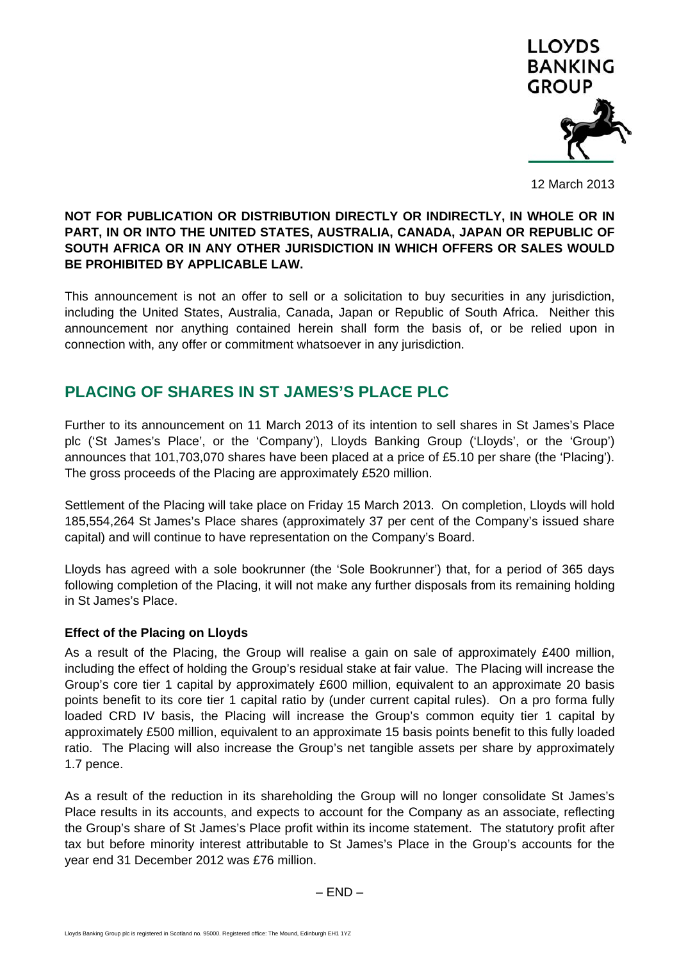

12 March 2013

## **NOT FOR PUBLICATION OR DISTRIBUTION DIRECTLY OR INDIRECTLY, IN WHOLE OR IN PART, IN OR INTO THE UNITED STATES, AUSTRALIA, CANADA, JAPAN OR REPUBLIC OF SOUTH AFRICA OR IN ANY OTHER JURISDICTION IN WHICH OFFERS OR SALES WOULD BE PROHIBITED BY APPLICABLE LAW.**

This announcement is not an offer to sell or a solicitation to buy securities in any jurisdiction, including the United States, Australia, Canada, Japan or Republic of South Africa. Neither this announcement nor anything contained herein shall form the basis of, or be relied upon in connection with, any offer or commitment whatsoever in any jurisdiction.

# **PLACING OF SHARES IN ST JAMES'S PLACE PLC**

Further to its announcement on 11 March 2013 of its intention to sell shares in St James's Place plc ('St James's Place', or the 'Company'), Lloyds Banking Group ('Lloyds', or the 'Group') announces that 101,703,070 shares have been placed at a price of £5.10 per share (the 'Placing'). The gross proceeds of the Placing are approximately £520 million.

Settlement of the Placing will take place on Friday 15 March 2013. On completion, Lloyds will hold 185,554,264 St James's Place shares (approximately 37 per cent of the Company's issued share capital) and will continue to have representation on the Company's Board.

Lloyds has agreed with a sole bookrunner (the 'Sole Bookrunner') that, for a period of 365 days following completion of the Placing, it will not make any further disposals from its remaining holding in St James's Place.

# **Effect of the Placing on Lloyds**

As a result of the Placing, the Group will realise a gain on sale of approximately £400 million, including the effect of holding the Group's residual stake at fair value. The Placing will increase the Group's core tier 1 capital by approximately £600 million, equivalent to an approximate 20 basis points benefit to its core tier 1 capital ratio by (under current capital rules). On a pro forma fully loaded CRD IV basis, the Placing will increase the Group's common equity tier 1 capital by approximately £500 million, equivalent to an approximate 15 basis points benefit to this fully loaded ratio. The Placing will also increase the Group's net tangible assets per share by approximately 1.7 pence.

As a result of the reduction in its shareholding the Group will no longer consolidate St James's Place results in its accounts, and expects to account for the Company as an associate, reflecting the Group's share of St James's Place profit within its income statement. The statutory profit after tax but before minority interest attributable to St James's Place in the Group's accounts for the year end 31 December 2012 was £76 million.

 $-$  END  $-$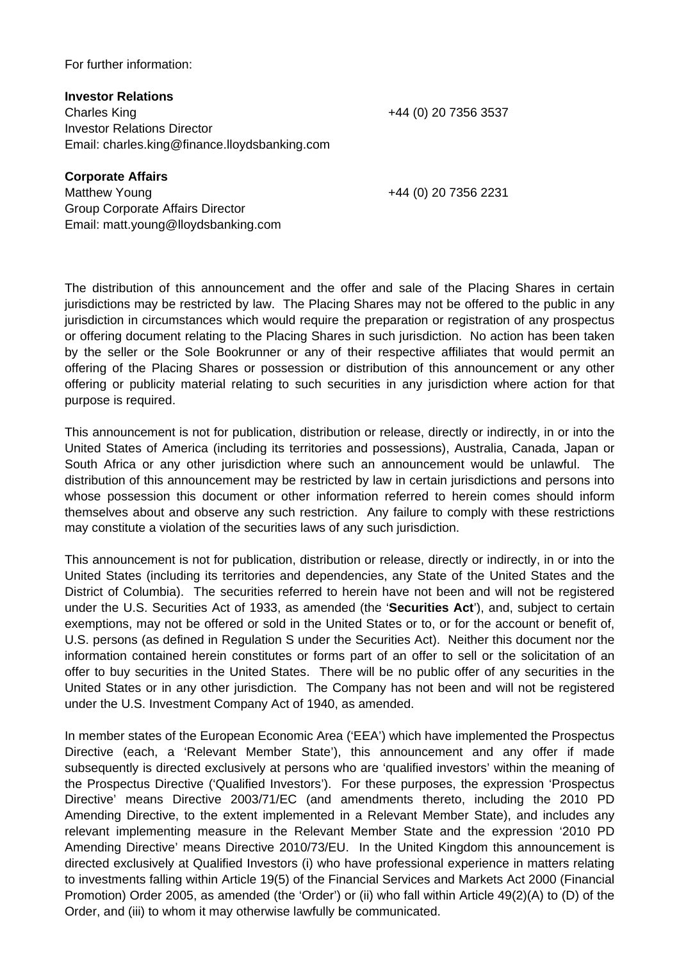#### For further information:

**Investor Relations**  Charles King +44 (0) 20 7356 3537 Investor Relations Director Email: charles.king@finance.lloydsbanking.com

**Corporate Affairs** 

Matthew Young +44 (0) 20 7356 2231 Group Corporate Affairs Director Email: matt.young@lloydsbanking.com

The distribution of this announcement and the offer and sale of the Placing Shares in certain jurisdictions may be restricted by law. The Placing Shares may not be offered to the public in any jurisdiction in circumstances which would require the preparation or registration of any prospectus or offering document relating to the Placing Shares in such jurisdiction. No action has been taken by the seller or the Sole Bookrunner or any of their respective affiliates that would permit an offering of the Placing Shares or possession or distribution of this announcement or any other offering or publicity material relating to such securities in any jurisdiction where action for that purpose is required.

This announcement is not for publication, distribution or release, directly or indirectly, in or into the United States of America (including its territories and possessions), Australia, Canada, Japan or South Africa or any other jurisdiction where such an announcement would be unlawful. The distribution of this announcement may be restricted by law in certain jurisdictions and persons into whose possession this document or other information referred to herein comes should inform themselves about and observe any such restriction. Any failure to comply with these restrictions may constitute a violation of the securities laws of any such jurisdiction.

This announcement is not for publication, distribution or release, directly or indirectly, in or into the United States (including its territories and dependencies, any State of the United States and the District of Columbia). The securities referred to herein have not been and will not be registered under the U.S. Securities Act of 1933, as amended (the '**Securities Act**'), and, subject to certain exemptions, may not be offered or sold in the United States or to, or for the account or benefit of, U.S. persons (as defined in Regulation S under the Securities Act). Neither this document nor the information contained herein constitutes or forms part of an offer to sell or the solicitation of an offer to buy securities in the United States. There will be no public offer of any securities in the United States or in any other jurisdiction. The Company has not been and will not be registered under the U.S. Investment Company Act of 1940, as amended.

In member states of the European Economic Area ('EEA') which have implemented the Prospectus Directive (each, a 'Relevant Member State'), this announcement and any offer if made subsequently is directed exclusively at persons who are 'qualified investors' within the meaning of the Prospectus Directive ('Qualified Investors'). For these purposes, the expression 'Prospectus Directive' means Directive 2003/71/EC (and amendments thereto, including the 2010 PD Amending Directive, to the extent implemented in a Relevant Member State), and includes any relevant implementing measure in the Relevant Member State and the expression '2010 PD Amending Directive' means Directive 2010/73/EU. In the United Kingdom this announcement is directed exclusively at Qualified Investors (i) who have professional experience in matters relating to investments falling within Article 19(5) of the Financial Services and Markets Act 2000 (Financial Promotion) Order 2005, as amended (the 'Order') or (ii) who fall within Article 49(2)(A) to (D) of the Order, and (iii) to whom it may otherwise lawfully be communicated.